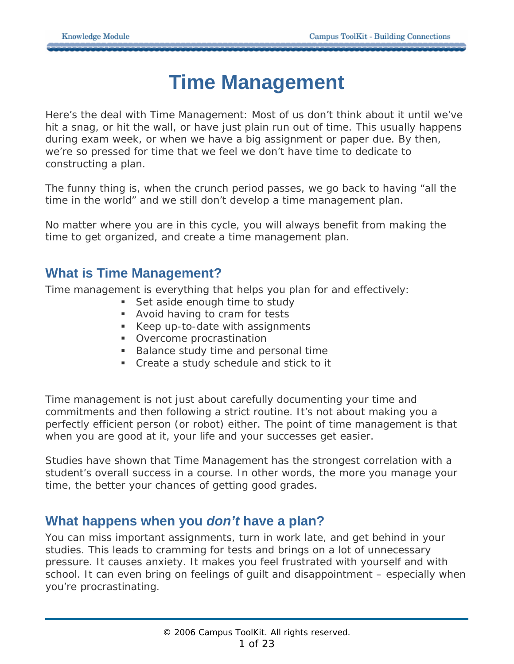# **Time Management**

Here's the deal with Time Management: Most of us don't *think* about it until we've hit a snag, or hit the wall, or have just plain run out of time. This usually happens during exam week, or when we have a big assignment or paper due. By then, we're so pressed for time that we feel we don't *have time* to dedicate to constructing a plan.

The funny thing is, when the crunch period passes, we go back to having "all the time in the world" and we *still* don't develop a time management plan.

No matter where you are in this cycle, you will always benefit from making the time to get organized, and create a time management plan.

### **What is Time Management?**

Time management is everything that helps you plan for and effectively:

- Set aside enough time to study
- Avoid having to cram for tests
- Keep up-to-date with assignments
- **•** Overcome procrastination
- Balance study time and personal time
- Create a study schedule and stick to it

Time management is not just about carefully documenting your time and commitments and then following a strict routine. It's not about making you a perfectly efficient person (or robot) either. The point of time management is that when you are good at it, your life and your successes *get easier*.

Studies have shown that Time Management has the strongest correlation with a student's overall success in a course. In other words, the more you manage your time, the better your chances of getting good grades.

## **What happens when you** *don't* **have a plan?**

You can miss important assignments, turn in work late, and get behind in your studies. This leads to cramming for tests and brings on a lot of unnecessary pressure. It causes anxiety. It makes you feel frustrated with yourself and with school. It can even bring on feelings of guilt and disappointment – especially when you're procrastinating.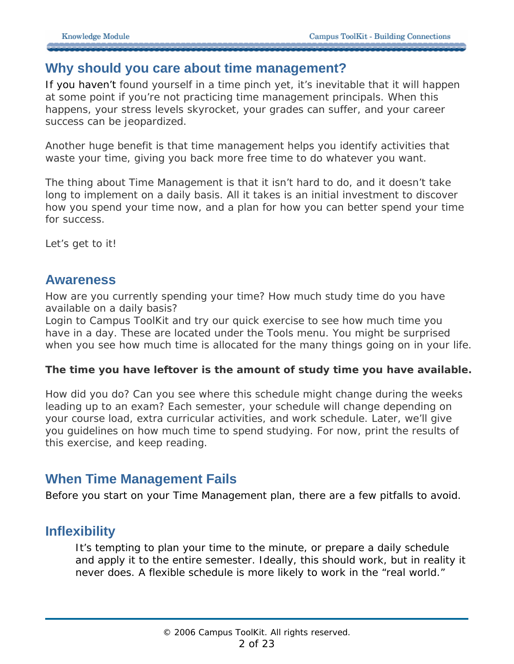#### **Why should you care about time management?**

If you haven't found yourself in a time pinch yet, it's inevitable that it will happen at some point if you're not practicing time management principals. When this happens, your stress levels skyrocket, your grades can suffer, and your career success can be jeopardized.

Another huge benefit is that time management helps you identify activities that *waste your time*, giving you back more free time to do whatever you want.

The thing about Time Management is that it isn't hard to do, and it doesn't take long to implement on a daily basis. All it takes is an initial investment to discover how you spend your time now, and a plan for how you can *better* spend your time for success.

Let's get to it!

#### **Awareness**

How are you currently spending your time? How much study time do you have available on a daily basis?

Login to Campus ToolKit and try our quick exercise to see how much time you have in a day. These are located under the Tools menu. You might be surprised when you see how much time is allocated for the many things going on in your life.

#### **The time you have leftover is the amount of study time you have available.**

How did you do? Can you see where this schedule might change during the weeks leading up to an exam? Each semester, your schedule will change depending on your course load, extra curricular activities, and work schedule. Later, we'll give you guidelines on how much time to spend studying. For now, print the results of this exercise, and keep reading.

### **When Time Management Fails**

Before you start on your Time Management plan, there are a few pitfalls to avoid.

### **Inflexibility**

It's tempting to plan your time to the minute, or prepare a daily schedule and apply it to the entire semester. Ideally, this *should* work, but in reality it never does. A flexible schedule is more likely to work in the "real world."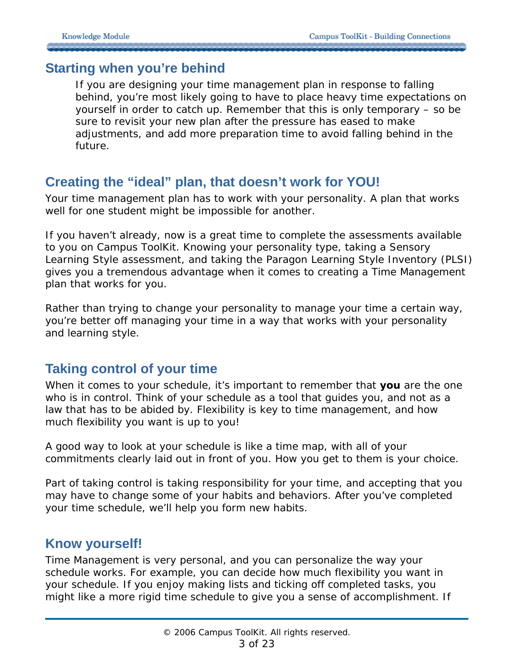#### **Starting when you're behind**

If you are designing your time management plan in response to falling behind, you're most likely going to have to place heavy time expectations on yourself in order to catch up. Remember that this is only temporary – so be sure to revisit your new plan after the pressure has eased to make adjustments, and add more preparation time to avoid falling behind in the future.

### **Creating the "ideal" plan, that doesn't work for YOU!**

Your time management plan has to work with your personality. A plan that works well for one student might be impossible for another.

If you haven't already, now is a great time to complete the assessments available to you on Campus ToolKit. Knowing your personality type, taking a Sensory Learning Style assessment, and taking the Paragon Learning Style Inventory (PLSI) gives you a tremendous advantage when it comes to creating a Time Management plan that works for you.

Rather than trying to change your personality to manage your time a certain way, you're better off managing your time in a way that works with your personality and learning style.

### **Taking control of your time**

When it comes to your schedule, it's important to remember that **you** are the one who is in control. Think of your schedule as a tool that guides you, and not as a law that has to be abided by. Flexibility is key to time management, and how much flexibility you want is up to you!

A good way to look at your schedule is like a time map, with all of your commitments clearly laid out in front of you. How you get to them is your choice.

Part of taking control is taking responsibility for your time, and accepting that you may have to change some of your habits and behaviors. After you've completed your time schedule, we'll help you form new habits.

#### **Know yourself!**

Time Management is very personal, and you can personalize the way your schedule works. For example, you can decide how much flexibility you want in your schedule. If you enjoy making lists and ticking off completed tasks, you might like a more rigid time schedule to give you a sense of accomplishment. If